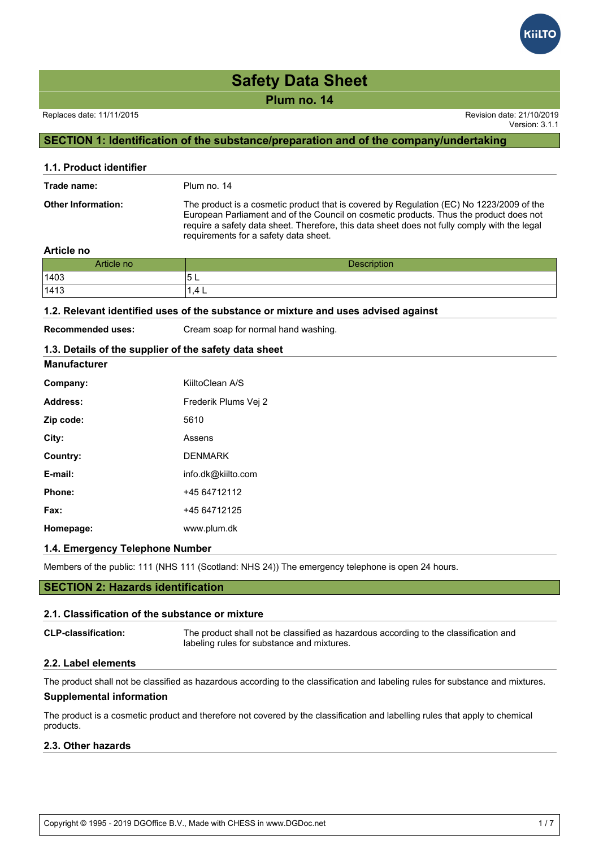

**Plum no. 14**

#### Replaces date: 11/11/2015 Revision date: 21/10/2019

Version: 3.1.1

## **SECTION 1: Identification of the substance/preparation and of the company/undertaking**

| 1.1. Product identifier   |                                                                                                                                                                                                                                                                                                                             |
|---------------------------|-----------------------------------------------------------------------------------------------------------------------------------------------------------------------------------------------------------------------------------------------------------------------------------------------------------------------------|
| Trade name:               | Plum no. 14                                                                                                                                                                                                                                                                                                                 |
| <b>Other Information:</b> | The product is a cosmetic product that is covered by Regulation (EC) No 1223/2009 of the<br>European Parliament and of the Council on cosmetic products. Thus the product does not<br>require a safety data sheet. Therefore, this data sheet does not fully comply with the legal<br>requirements for a safety data sheet. |

#### **Article no**

| Article no | <b>Description</b> |
|------------|--------------------|
| 1403       | ◡└                 |
| 1413       | l.4 L              |

#### **1.2. Relevant identified uses of the substance or mixture and uses advised against**

**Manufacturer**

**Recommended uses:** Cream soap for normal hand washing.

### **1.3. Details of the supplier of the safety data sheet**

| Company:  | KiiltoClean A/S      |
|-----------|----------------------|
| Address:  | Frederik Plums Vej 2 |
| Zip code: | 5610                 |
| City:     | Assens               |
| Country:  | <b>DENMARK</b>       |
| E-mail:   | info.dk@kiilto.com   |
| Phone:    | +45 64712112         |
| Fax:      | +45 64712125         |
| Homepage: | www.plum.dk          |

#### **1.4. Emergency Telephone Number**

Members of the public: 111 (NHS 111 (Scotland: NHS 24)) The emergency telephone is open 24 hours.

#### **SECTION 2: Hazards identification**

#### **2.1. Classification of the substance or mixture**

**CLP-classification:** The product shall not be classified as hazardous according to the classification and labeling rules for substance and mixtures.

#### **2.2. Label elements**

The product shall not be classified as hazardous according to the classification and labeling rules for substance and mixtures.

#### **Supplemental information**

The product is a cosmetic product and therefore not covered by the classification and labelling rules that apply to chemical products.

#### **2.3. Other hazards**

Copyright © 1995 - 2019 DGOffice B.V., Made with CHESS in www.DGDoc.net 1 / 7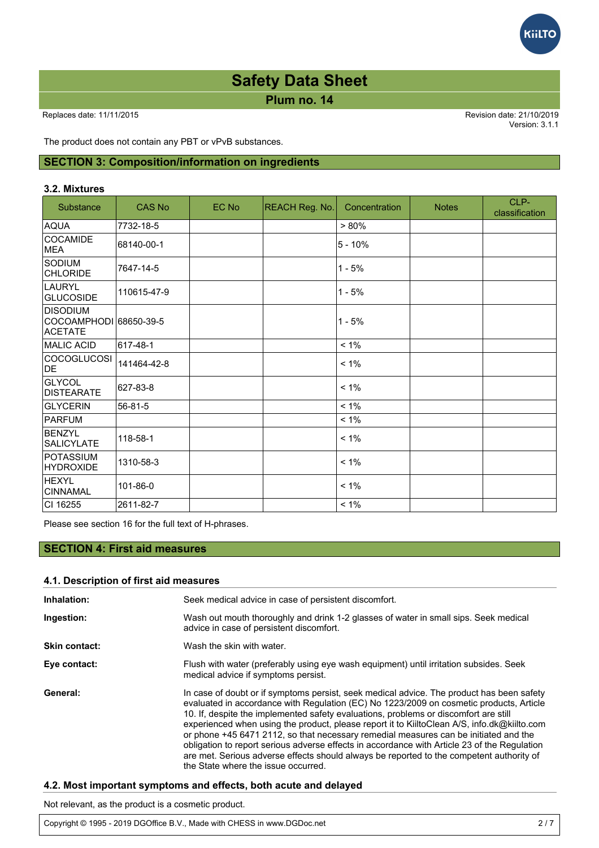**Plum no. 14**

Replaces date: 11/11/2015 Revision date: 21/10/2019 Version: 3.1.1

**GILTC** 

The product does not contain any PBT or vPvB substances.

#### **SECTION 3: Composition/information on ingredients**

#### **3.2. Mixtures**

| Substance                                                   | <b>CAS No</b> | EC No | REACH Reg. No. | Concentration | <b>Notes</b> | CLP-<br>classification |
|-------------------------------------------------------------|---------------|-------|----------------|---------------|--------------|------------------------|
| <b>AQUA</b>                                                 | 7732-18-5     |       |                | $> 80\%$      |              |                        |
| COCAMIDE<br><b>MEA</b>                                      | 68140-00-1    |       |                | $5 - 10%$     |              |                        |
| <b>SODIUM</b><br><b>CHLORIDE</b>                            | 7647-14-5     |       |                | $1 - 5%$      |              |                        |
| <b>LAURYL</b><br><b>GLUCOSIDE</b>                           | 110615-47-9   |       |                | $1 - 5%$      |              |                        |
| <b>DISODIUM</b><br>COCOAMPHODI 68650-39-5<br><b>ACETATE</b> |               |       |                | $1 - 5%$      |              |                        |
| MALIC ACID                                                  | 617-48-1      |       |                | $< 1\%$       |              |                        |
| <b>COCOGLUCOSI</b><br>DE                                    | 141464-42-8   |       |                | $< 1\%$       |              |                        |
| <b>GLYCOL</b><br>DISTEARATE                                 | 627-83-8      |       |                | $< 1\%$       |              |                        |
| <b>GLYCERIN</b>                                             | 56-81-5       |       |                | $< 1\%$       |              |                        |
| <b>PARFUM</b>                                               |               |       |                | $< 1\%$       |              |                        |
| BENZYL<br><b>SALICYLATE</b>                                 | 118-58-1      |       |                | $< 1\%$       |              |                        |
| <b>POTASSIUM</b><br><b>HYDROXIDE</b>                        | 1310-58-3     |       |                | $< 1\%$       |              |                        |
| <b>HEXYL</b><br>CINNAMAL                                    | 101-86-0      |       |                | $< 1\%$       |              |                        |
| CI 16255                                                    | 2611-82-7     |       |                | $< 1\%$       |              |                        |

Please see section 16 for the full text of H-phrases.

#### **SECTION 4: First aid measures**

#### **4.1. Description of first aid measures**

| Inhalation:   | Seek medical advice in case of persistent discomfort.                                                                                                                                                                                                                                                                                                                                                                                                                                                                                                                                                                                                                                                  |
|---------------|--------------------------------------------------------------------------------------------------------------------------------------------------------------------------------------------------------------------------------------------------------------------------------------------------------------------------------------------------------------------------------------------------------------------------------------------------------------------------------------------------------------------------------------------------------------------------------------------------------------------------------------------------------------------------------------------------------|
| Ingestion:    | Wash out mouth thoroughly and drink 1-2 glasses of water in small sips. Seek medical<br>advice in case of persistent discomfort.                                                                                                                                                                                                                                                                                                                                                                                                                                                                                                                                                                       |
| Skin contact: | Wash the skin with water.                                                                                                                                                                                                                                                                                                                                                                                                                                                                                                                                                                                                                                                                              |
| Eye contact:  | Flush with water (preferably using eye wash equipment) until irritation subsides. Seek<br>medical advice if symptoms persist.                                                                                                                                                                                                                                                                                                                                                                                                                                                                                                                                                                          |
| General:      | In case of doubt or if symptoms persist, seek medical advice. The product has been safety<br>evaluated in accordance with Regulation (EC) No 1223/2009 on cosmetic products, Article<br>10. If, despite the implemented safety evaluations, problems or discomfort are still<br>experienced when using the product, please report it to KiiltoClean A/S, info.dk@kiilto.com<br>or phone +45 6471 2112, so that necessary remedial measures can be initiated and the<br>obligation to report serious adverse effects in accordance with Article 23 of the Regulation<br>are met. Serious adverse effects should always be reported to the competent authority of<br>the State where the issue occurred. |

#### **4.2. Most important symptoms and effects, both acute and delayed**

Not relevant, as the product is a cosmetic product.

Copyright © 1995 - 2019 DGOffice B.V., Made with CHESS in www.DGDoc.net 2 / 7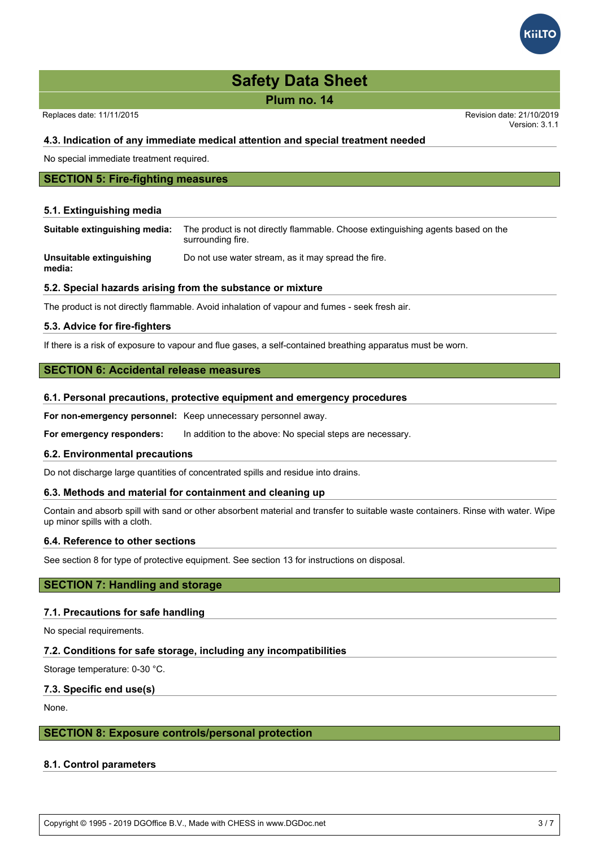**Plum no. 14**

Replaces date: 11/11/2015 Revision date: 21/10/2019

Version: 3.1.1

#### **4.3. Indication of any immediate medical attention and special treatment needed**

No special immediate treatment required.

## **SECTION 5: Fire-fighting measures**

#### **5.1. Extinguishing media**

**Suitable extinguishing media:** The product is not directly flammable. Choose extinguishing agents based on the surrounding fire.

**Unsuitable extinguishing media:** Do not use water stream, as it may spread the fire.

#### **5.2. Special hazards arising from the substance or mixture**

The product is not directly flammable. Avoid inhalation of vapour and fumes - seek fresh air.

#### **5.3. Advice for fire-fighters**

If there is a risk of exposure to vapour and flue gases, a self-contained breathing apparatus must be worn.

#### **SECTION 6: Accidental release measures**

#### **6.1. Personal precautions, protective equipment and emergency procedures**

**For non-emergency personnel:** Keep unnecessary personnel away.

**For emergency responders:** In addition to the above: No special steps are necessary.

#### **6.2. Environmental precautions**

Do not discharge large quantities of concentrated spills and residue into drains.

#### **6.3. Methods and material for containment and cleaning up**

Contain and absorb spill with sand or other absorbent material and transfer to suitable waste containers. Rinse with water. Wipe up minor spills with a cloth.

#### **6.4. Reference to other sections**

See section 8 for type of protective equipment. See section 13 for instructions on disposal.

#### **SECTION 7: Handling and storage**

#### **7.1. Precautions for safe handling**

No special requirements.

#### **7.2. Conditions for safe storage, including any incompatibilities**

Storage temperature: 0-30 °C.

#### **7.3. Specific end use(s)**

None.

#### **SECTION 8: Exposure controls/personal protection**

#### **8.1. Control parameters**

Copyright © 1995 - 2019 DGOffice B.V., Made with CHESS in www.DGDoc.net 3 / 7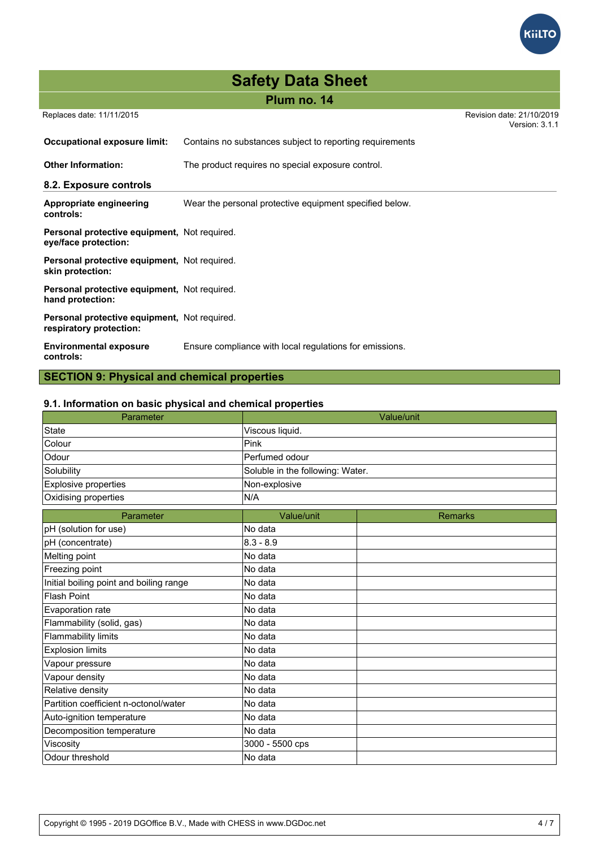

## **Plum no. 14**

Replaces date: 11/11/2015 Revision date: 21/10/2019

Version: 3.1.1

| Occupational exposure limit:                                            | Contains no substances subject to reporting requirements |
|-------------------------------------------------------------------------|----------------------------------------------------------|
| <b>Other Information:</b>                                               | The product requires no special exposure control.        |
| 8.2. Exposure controls                                                  |                                                          |
| Appropriate engineering<br>controls:                                    | Wear the personal protective equipment specified below.  |
| Personal protective equipment, Not required.<br>eye/face protection:    |                                                          |
| Personal protective equipment, Not required.<br>skin protection:        |                                                          |
| Personal protective equipment, Not required.<br>hand protection:        |                                                          |
| Personal protective equipment, Not required.<br>respiratory protection: |                                                          |
| <b>Environmental exposure</b><br>controls:                              | Ensure compliance with local regulations for emissions.  |

## **SECTION 9: Physical and chemical properties**

#### **9.1. Information on basic physical and chemical properties**

| Parameter                               |                                  | Value/unit     |  |
|-----------------------------------------|----------------------------------|----------------|--|
| <b>State</b>                            | Viscous liquid.                  |                |  |
| Colour                                  | Pink                             |                |  |
| Odour                                   | Perfumed odour                   |                |  |
| Solubility                              | Soluble in the following: Water. |                |  |
| Explosive properties                    | Non-explosive                    |                |  |
| Oxidising properties                    | N/A                              |                |  |
| Parameter                               | Value/unit                       | <b>Remarks</b> |  |
| pH (solution for use)                   | No data                          |                |  |
| pH (concentrate)                        | $8.3 - 8.9$                      |                |  |
| Melting point                           | No data                          |                |  |
| Freezing point                          | No data                          |                |  |
| Initial boiling point and boiling range | No data                          |                |  |
| <b>Flash Point</b>                      | No data                          |                |  |
| Evaporation rate                        | No data                          |                |  |
| Flammability (solid, gas)               | No data                          |                |  |
| <b>Flammability limits</b>              | No data                          |                |  |
| <b>Explosion limits</b>                 | No data                          |                |  |
| Vapour pressure                         | No data                          |                |  |
| Vapour density                          | No data                          |                |  |
| Relative density                        | No data                          |                |  |
| Partition coefficient n-octonol/water   | No data                          |                |  |
| Auto-ignition temperature               | No data                          |                |  |
| Decomposition temperature               | No data                          |                |  |
| Viscosity                               | 3000 - 5500 cps                  |                |  |
| Odour threshold                         | No data                          |                |  |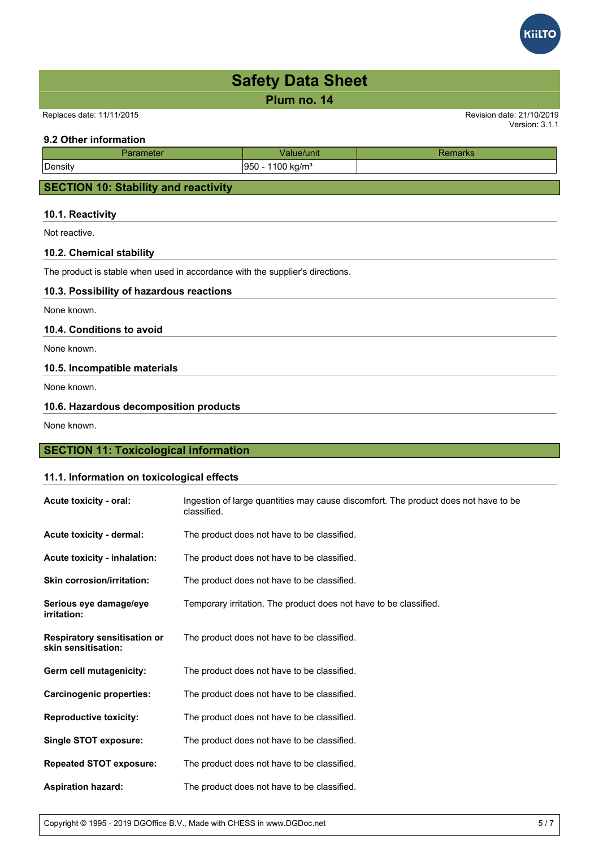

#### **11.1. Information on toxicological effects**

| Acute toxicity - oral:                                     | Ingestion of large quantities may cause discomfort. The product does not have to be<br>classified. |
|------------------------------------------------------------|----------------------------------------------------------------------------------------------------|
| Acute toxicity - dermal:                                   | The product does not have to be classified.                                                        |
| Acute toxicity - inhalation:                               | The product does not have to be classified.                                                        |
| <b>Skin corrosion/irritation:</b>                          | The product does not have to be classified.                                                        |
| Serious eye damage/eye<br>irritation:                      | Temporary irritation. The product does not have to be classified.                                  |
| <b>Respiratory sensitisation or</b><br>skin sensitisation: | The product does not have to be classified.                                                        |
| Germ cell mutagenicity:                                    | The product does not have to be classified.                                                        |
| <b>Carcinogenic properties:</b>                            | The product does not have to be classified.                                                        |
| <b>Reproductive toxicity:</b>                              | The product does not have to be classified.                                                        |
| <b>Single STOT exposure:</b>                               | The product does not have to be classified.                                                        |
| <b>Repeated STOT exposure:</b>                             | The product does not have to be classified.                                                        |
| <b>Aspiration hazard:</b>                                  | The product does not have to be classified.                                                        |

Copyright © 1995 - 2019 DGOffice B.V., Made with CHESS in www.DGDoc.net 5 / 7

**iilT**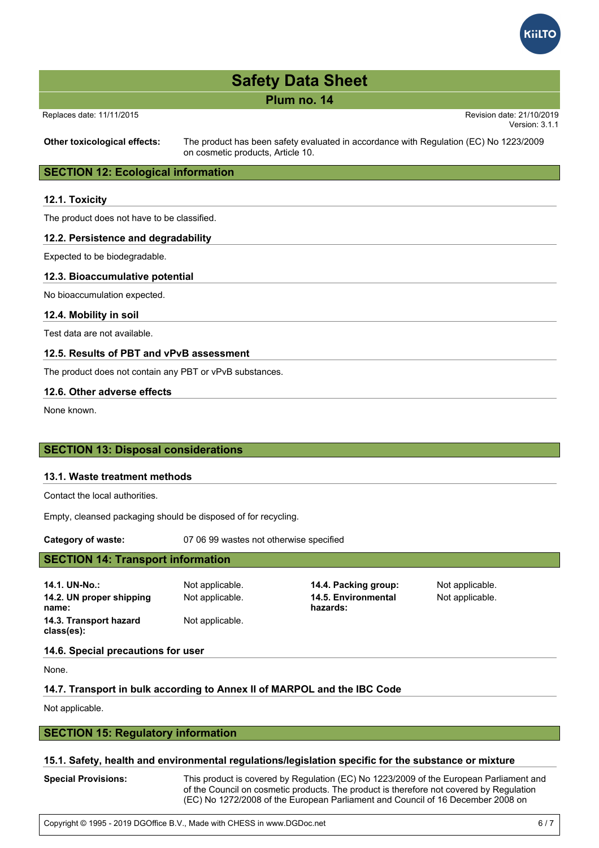

| <b>Safety Data Sheet</b> |  |  |
|--------------------------|--|--|
|--------------------------|--|--|

**Plum no. 14**

| Replaces date: 11/11/2015 |  |  |
|---------------------------|--|--|
|                           |  |  |

 Replaces date: 11/11/2015 Revision date: 21/10/2019 Version: 3.1.1

**Other toxicological effects:** The product has been safety evaluated in accordance with Regulation (EC) No 1223/2009 on cosmetic products, Article 10.

#### **SECTION 12: Ecological information**

#### **12.1. Toxicity**

The product does not have to be classified.

#### **12.2. Persistence and degradability**

Expected to be biodegradable.

#### **12.3. Bioaccumulative potential**

No bioaccumulation expected.

**12.4. Mobility in soil**

Test data are not available.

#### **12.5. Results of PBT and vPvB assessment**

The product does not contain any PBT or vPvB substances.

#### **12.6. Other adverse effects**

None known.

#### **SECTION 13: Disposal considerations**

#### **13.1. Waste treatment methods**

Contact the local authorities.

Empty, cleansed packaging should be disposed of for recycling.

**Category of waste:** 07 06 99 wastes not otherwise specified

#### **SECTION 14: Transport information**

**14.1. UN-No.:** Not applicable. **14.4. Packing group:** Not applicable. **14.2. UN proper shipping name: 14.3. Transport hazard class(es):**

Not applicable.

Not applicable. **14.5. Environmental hazards:**

Not applicable.

#### **14.6. Special precautions for user**

None.

#### **14.7. Transport in bulk according to Annex II of MARPOL and the IBC Code**

Not applicable.

#### **SECTION 15: Regulatory information**

#### **15.1. Safety, health and environmental regulations/legislation specific for the substance or mixture**

**Special Provisions:** This product is covered by Regulation (EC) No 1223/2009 of the European Parliament and of the Council on cosmetic products. The product is therefore not covered by Regulation (EC) No 1272/2008 of the European Parliament and Council of 16 December 2008 on

classification, labelling and packaging of substances and mixtures in accordance with